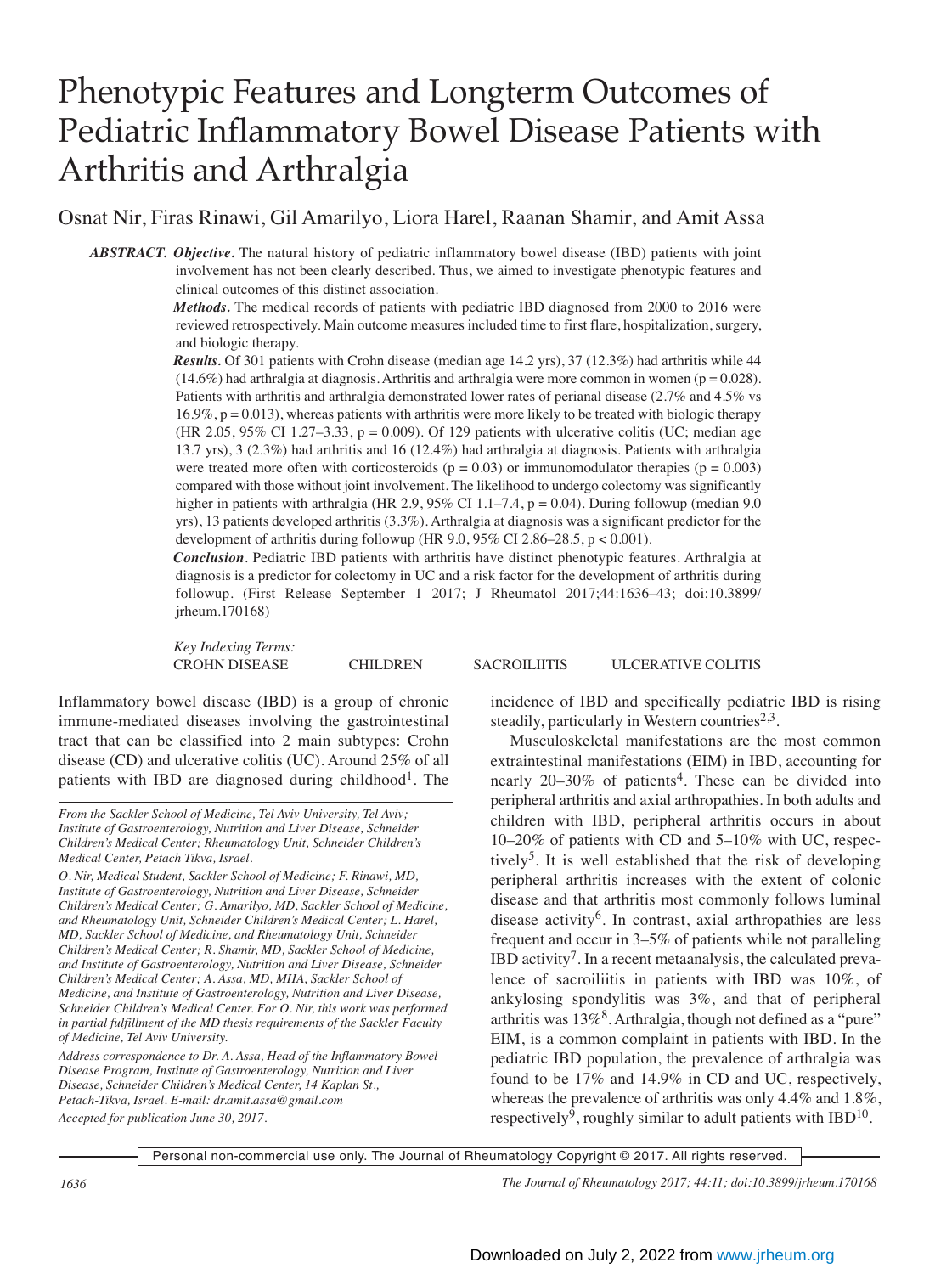# Phenotypic Features and Longterm Outcomes of Pediatric Inflammatory Bowel Disease Patients with Arthritis and Arthralgia

Osnat Nir, Firas Rinawi, Gil Amarilyo, Liora Harel, Raanan Shamir, and Amit Assa

*ABSTRACT. Objective.* The natural history of pediatric inflammatory bowel disease (IBD) patients with joint involvement has not been clearly described. Thus, we aimed to investigate phenotypic features and clinical outcomes of this distinct association.

> *Methods.* The medical records of patients with pediatric IBD diagnosed from 2000 to 2016 were reviewed retrospectively. Main outcome measures included time to first flare, hospitalization, surgery, and biologic therapy.

> *Results.* Of 301 patients with Crohn disease (median age 14.2 yrs), 37 (12.3%) had arthritis while 44  $(14.6\%)$  had arthralgia at diagnosis. Arthritis and arthralgia were more common in women ( $p = 0.028$ ). Patients with arthritis and arthralgia demonstrated lower rates of perianal disease (2.7% and 4.5% vs  $16.9\%$ ,  $p = 0.013$ ), whereas patients with arthritis were more likely to be treated with biologic therapy (HR 2.05, 95% CI 1.27–3.33, p = 0.009). Of 129 patients with ulcerative colitis (UC; median age 13.7 yrs), 3 (2.3%) had arthritis and 16 (12.4%) had arthralgia at diagnosis. Patients with arthralgia were treated more often with corticosteroids ( $p = 0.03$ ) or immunomodulator therapies ( $p = 0.003$ ) compared with those without joint involvement. The likelihood to undergo colectomy was significantly higher in patients with arthralgia (HR 2.9,  $95\%$  CI 1.1–7.4, p = 0.04). During followup (median 9.0 yrs), 13 patients developed arthritis (3.3%). Arthralgia at diagnosis was a significant predictor for the development of arthritis during followup (HR 9.0, 95% CI 2.86–28.5, p < 0.001).

> *Conclusion*. Pediatric IBD patients with arthritis have distinct phenotypic features. Arthralgia at diagnosis is a predictor for colectomy in UC and a risk factor for the development of arthritis during followup. (First Release September 1 2017; J Rheumatol 2017;44:1636–43; doi:10.3899/ jrheum.170168)

*Key Indexing Terms:*

CROHN DISEASE CHILDREN SACROILIITIS ULCERATIVE COLITIS

Inflammatory bowel disease (IBD) is a group of chronic immune-mediated diseases involving the gastrointestinal tract that can be classified into 2 main subtypes: Crohn disease (CD) and ulcerative colitis (UC). Around 25% of all patients with IBD are diagnosed during childhood<sup>1</sup>. The

*O. Nir, Medical Student, Sackler School of Medicine; F. Rinawi, MD, Institute of Gastroenterology, Nutrition and Liver Disease, Schneider Children's Medical Center; G. Amarilyo, MD, Sackler School of Medicine, and Rheumatology Unit, Schneider Children's Medical Center; L. Harel, MD, Sackler School of Medicine, and Rheumatology Unit, Schneider Children's Medical Center; R. Shamir, MD, Sackler School of Medicine, and Institute of Gastroenterology, Nutrition and Liver Disease, Schneider Children's Medical Center; A. Assa, MD, MHA, Sackler School of Medicine, and Institute of Gastroenterology, Nutrition and Liver Disease, Schneider Children's Medical Center. For O. Nir, this work was performed in partial fulfillment of the MD thesis requirements of the Sackler Faculty of Medicine, Tel Aviv University.*

*Address correspondence to Dr. A. Assa, Head of the Inflammatory Bowel Disease Program, Institute of Gastroenterology, Nutrition and Liver Disease, Schneider Children's Medical Center, 14 Kaplan St., Petach-Tikva, Israel. E-mail: dr.amit.assa@gmail.com Accepted for publication June 30, 2017.*

incidence of IBD and specifically pediatric IBD is rising steadily, particularly in Western countries<sup>2,3</sup>.

 Musculoskeletal manifestations are the most common extraintestinal manifestations (EIM) in IBD, accounting for nearly  $20-30\%$  of patients<sup>4</sup>. These can be divided into peripheral arthritis and axial arthropathies. In both adults and children with IBD, peripheral arthritis occurs in about 10–20% of patients with CD and 5–10% with UC, respectively<sup>5</sup>. It is well established that the risk of developing peripheral arthritis increases with the extent of colonic disease and that arthritis most commonly follows luminal disease activity<sup>6</sup>. In contrast, axial arthropathies are less frequent and occur in 3–5% of patients while not paralleling IBD activity<sup>7</sup>. In a recent metaanalysis, the calculated prevalence of sacroiliitis in patients with IBD was 10%, of ankylosing spondylitis was 3%, and that of peripheral arthritis was  $13\%$ <sup>8</sup>. Arthralgia, though not defined as a "pure" EIM, is a common complaint in patients with IBD. In the pediatric IBD population, the prevalence of arthralgia was found to be 17% and 14.9% in CD and UC, respectively, whereas the prevalence of arthritis was only 4.4% and 1.8%, respectively<sup>9</sup>, roughly similar to adult patients with IBD<sup>10</sup>.

Personal non-commercial use only. The Journal of Rheumatology Copyright © 2017. All rights reserved.

*1636 The Journal of Rheumatology 2017; 44:11; doi:10.3899/jrheum.170168*

*From the Sackler School of Medicine, Tel Aviv University, Tel Aviv; Institute of Gastroenterology, Nutrition and Liver Disease, Schneider Children's Medical Center; Rheumatology Unit, Schneider Children's Medical Center, Petach Tikva, Israel.*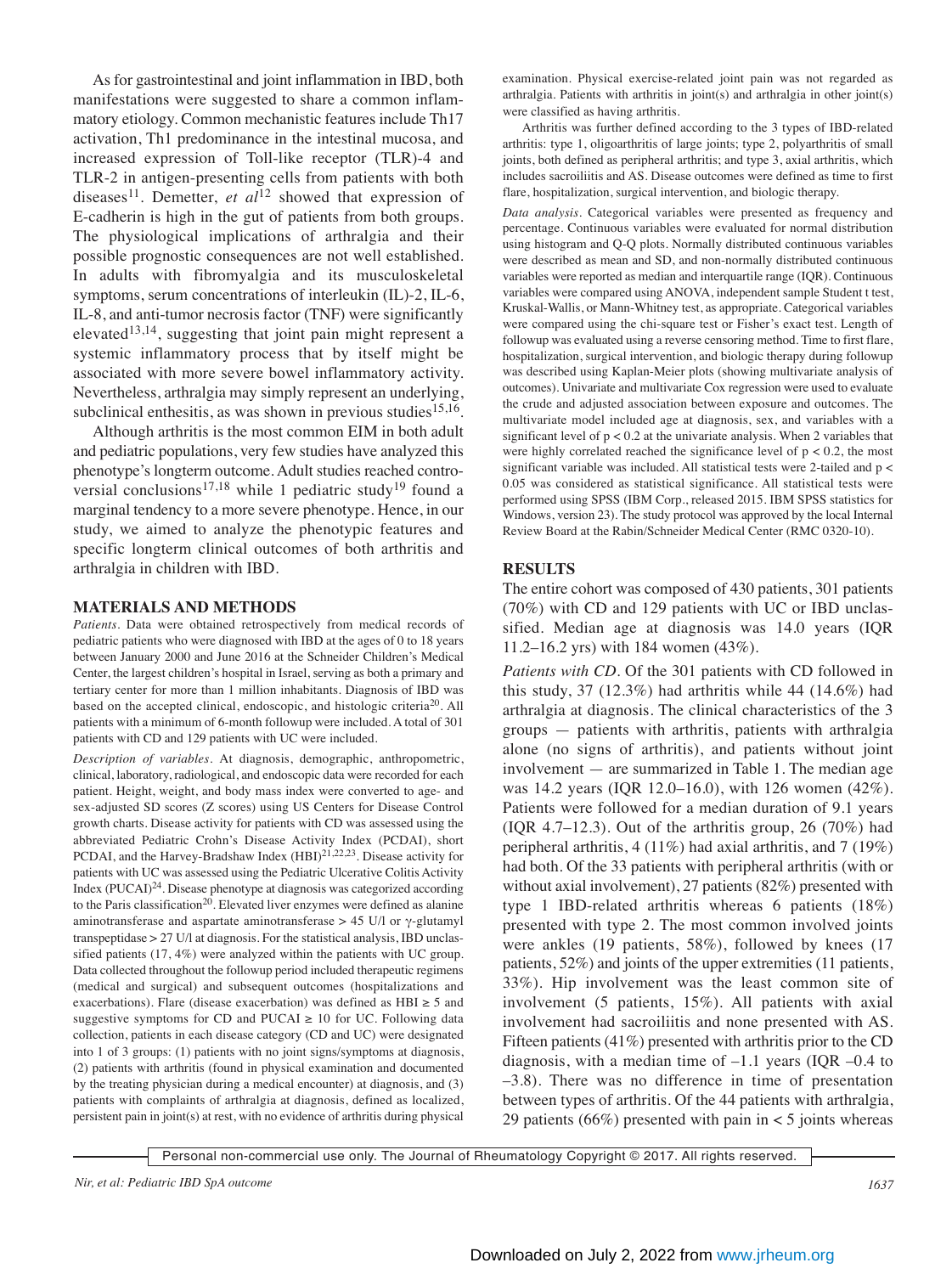As for gastrointestinal and joint inflammation in IBD, both manifestations were suggested to share a common inflammatory etiology. Common mechanistic features include Th17 activation, Th1 predominance in the intestinal mucosa, and increased expression of Toll-like receptor (TLR)-4 and TLR-2 in antigen-presenting cells from patients with both diseases<sup>11</sup>. Demetter, *et al*<sup>12</sup> showed that expression of E-cadherin is high in the gut of patients from both groups. The physiological implications of arthralgia and their possible prognostic consequences are not well established. In adults with fibromyalgia and its musculoskeletal symptoms, serum concentrations of interleukin (IL)-2, IL-6, IL-8, and anti-tumor necrosis factor (TNF) were significantly elevated<sup>13,14</sup>, suggesting that joint pain might represent a systemic inflammatory process that by itself might be associated with more severe bowel inflammatory activity. Nevertheless, arthralgia may simply represent an underlying, subclinical enthesitis, as was shown in previous studies<sup>15,16</sup>.

 Although arthritis is the most common EIM in both adult and pediatric populations, very few studies have analyzed this phenotype's longterm outcome. Adult studies reached controversial conclusions<sup>17,18</sup> while 1 pediatric study<sup>19</sup> found a marginal tendency to a more severe phenotype. Hence, in our study, we aimed to analyze the phenotypic features and specific longterm clinical outcomes of both arthritis and arthralgia in children with IBD.

#### **MATERIALS AND METHODS**

*Patients.* Data were obtained retrospectively from medical records of pediatric patients who were diagnosed with IBD at the ages of 0 to 18 years between January 2000 and June 2016 at the Schneider Children's Medical Center, the largest children's hospital in Israel, serving as both a primary and tertiary center for more than 1 million inhabitants. Diagnosis of IBD was based on the accepted clinical, endoscopic, and histologic criteria<sup>20</sup>. All patients with a minimum of 6-month followup were included. A total of 301 patients with CD and 129 patients with UC were included.

*Description of variables.* At diagnosis, demographic, anthropometric, clinical, laboratory, radiological, and endoscopic data were recorded for each patient. Height, weight, and body mass index were converted to age- and sex-adjusted SD scores (Z scores) using US Centers for Disease Control growth charts. Disease activity for patients with CD was assessed using the abbreviated Pediatric Crohn's Disease Activity Index (PCDAI), short PCDAI, and the Harvey-Bradshaw Index  $(HBI)^{21,22,23}$ . Disease activity for patients with UC was assessed using the Pediatric Ulcerative Colitis Activity Index (PUCAI)24. Disease phenotype at diagnosis was categorized according to the Paris classification<sup>20</sup>. Elevated liver enzymes were defined as alanine aminotransferase and aspartate aminotransferase > 45 U/l or γ-glutamyl transpeptidase > 27 U/l at diagnosis. For the statistical analysis, IBD unclassified patients (17, 4%) were analyzed within the patients with UC group. Data collected throughout the followup period included therapeutic regimens (medical and surgical) and subsequent outcomes (hospitalizations and exacerbations). Flare (disease exacerbation) was defined as  $HBI \geq 5$  and suggestive symptoms for CD and PUCAI  $\geq$  10 for UC. Following data collection, patients in each disease category (CD and UC) were designated into 1 of 3 groups: (1) patients with no joint signs/symptoms at diagnosis, (2) patients with arthritis (found in physical examination and documented by the treating physician during a medical encounter) at diagnosis, and (3) patients with complaints of arthralgia at diagnosis, defined as localized, persistent pain in joint(s) at rest, with no evidence of arthritis during physical examination. Physical exercise-related joint pain was not regarded as arthralgia. Patients with arthritis in joint(s) and arthralgia in other joint(s) were classified as having arthritis.

 Arthritis was further defined according to the 3 types of IBD-related arthritis: type 1, oligoarthritis of large joints; type 2, polyarthritis of small joints, both defined as peripheral arthritis; and type 3, axial arthritis, which includes sacroiliitis and AS. Disease outcomes were defined as time to first flare, hospitalization, surgical intervention, and biologic therapy.

*Data analysis.* Categorical variables were presented as frequency and percentage. Continuous variables were evaluated for normal distribution using histogram and Q-Q plots. Normally distributed continuous variables were described as mean and SD, and non-normally distributed continuous variables were reported as median and interquartile range (IQR). Continuous variables were compared using ANOVA, independent sample Student t test, Kruskal-Wallis, or Mann-Whitney test, as appropriate. Categorical variables were compared using the chi-square test or Fisher's exact test. Length of followup was evaluated using a reverse censoring method. Time to first flare, hospitalization, surgical intervention, and biologic therapy during followup was described using Kaplan-Meier plots (showing multivariate analysis of outcomes). Univariate and multivariate Cox regression were used to evaluate the crude and adjusted association between exposure and outcomes. The multivariate model included age at diagnosis, sex, and variables with a significant level of  $p < 0.2$  at the univariate analysis. When 2 variables that were highly correlated reached the significance level of  $p < 0.2$ , the most significant variable was included. All statistical tests were 2-tailed and p < 0.05 was considered as statistical significance. All statistical tests were performed using SPSS (IBM Corp., released 2015. IBM SPSS statistics for Windows, version 23). The study protocol was approved by the local Internal Review Board at the Rabin/Schneider Medical Center (RMC 0320-10).

# **RESULTS**

The entire cohort was composed of 430 patients, 301 patients (70%) with CD and 129 patients with UC or IBD unclassified. Median age at diagnosis was 14.0 years (IQR 11.2–16.2 yrs) with 184 women (43%).

*Patients with CD.* Of the 301 patients with CD followed in this study, 37 (12.3%) had arthritis while 44 (14.6%) had arthralgia at diagnosis. The clinical characteristics of the 3 groups — patients with arthritis, patients with arthralgia alone (no signs of arthritis), and patients without joint involvement — are summarized in Table 1. The median age was 14.2 years (IQR 12.0–16.0), with 126 women (42%). Patients were followed for a median duration of 9.1 years  $( IQR 4.7–12.3)$ . Out of the arthritis group, 26 (70%) had peripheral arthritis, 4 (11%) had axial arthritis, and 7 (19%) had both. Of the 33 patients with peripheral arthritis (with or without axial involvement), 27 patients (82%) presented with type 1 IBD-related arthritis whereas 6 patients (18%) presented with type 2. The most common involved joints were ankles (19 patients, 58%), followed by knees (17 patients, 52%) and joints of the upper extremities (11 patients, 33%). Hip involvement was the least common site of involvement (5 patients, 15%). All patients with axial involvement had sacroiliitis and none presented with AS. Fifteen patients (41%) presented with arthritis prior to the CD diagnosis, with a median time of  $-1.1$  years (IQR  $-0.4$  to –3.8). There was no difference in time of presentation between types of arthritis. Of the 44 patients with arthralgia, 29 patients (66%) presented with pain in  $\lt$  5 joints whereas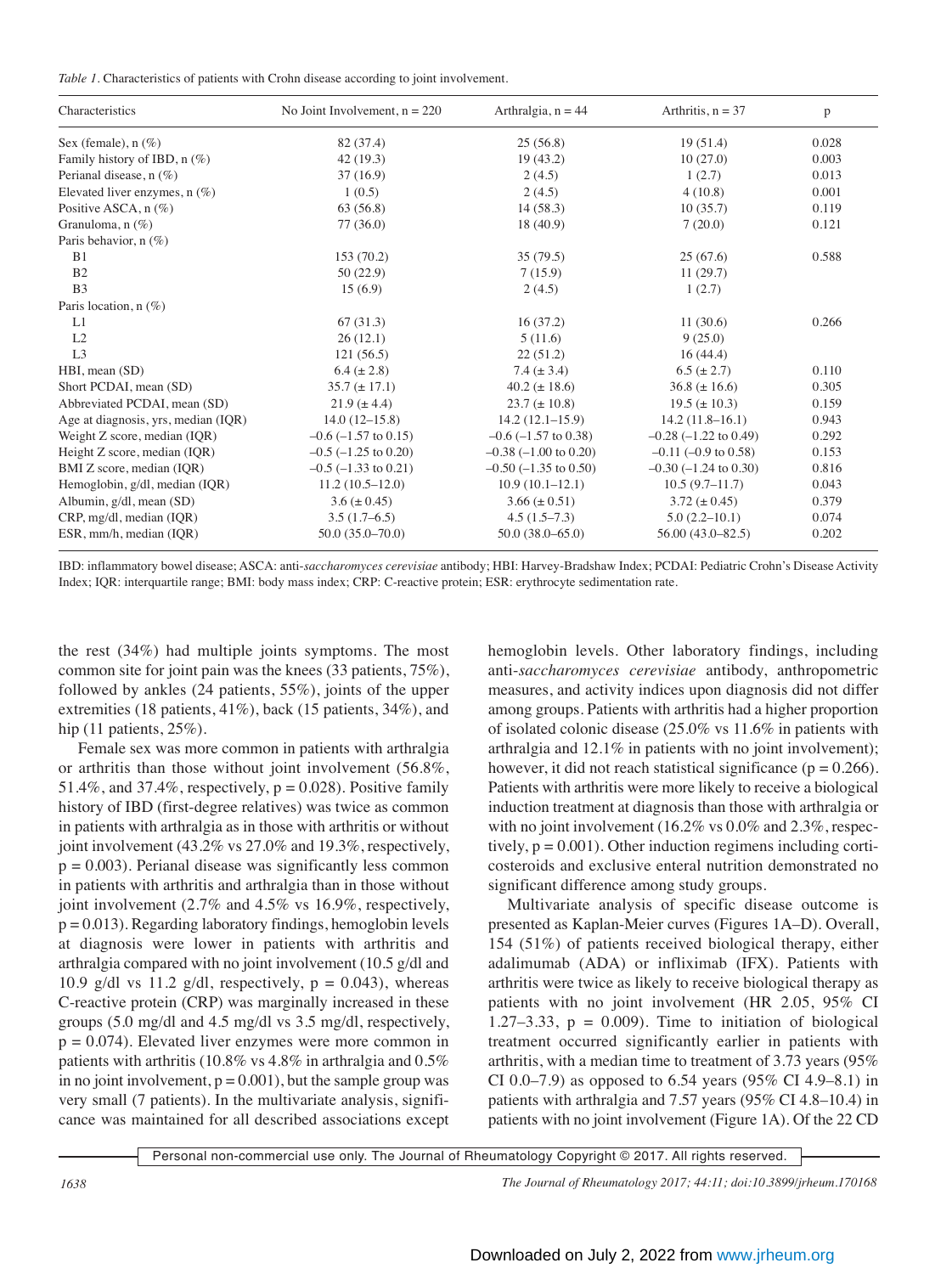|  | Table 1. Characteristics of patients with Crohn disease according to joint involvement. |  |  |  |  |  |  |  |  |  |
|--|-----------------------------------------------------------------------------------------|--|--|--|--|--|--|--|--|--|
|--|-----------------------------------------------------------------------------------------|--|--|--|--|--|--|--|--|--|

| Characteristics                     | No Joint Involvement, $n = 220$ | Arthralgia, $n = 44$       | Arthritis, $n = 37$         | p     |
|-------------------------------------|---------------------------------|----------------------------|-----------------------------|-------|
| Sex (female), $n$ (%)               | 82 (37.4)                       | 25(56.8)                   | 19(51.4)                    | 0.028 |
| Family history of IBD, $n$ (%)      | 42(19.3)                        | 19(43.2)                   | 10(27.0)                    | 0.003 |
| Perianal disease, $n$ (%)           | 37(16.9)                        | 2(4.5)                     | 1(2.7)                      | 0.013 |
| Elevated liver enzymes, $n$ (%)     | 1(0.5)                          | 2(4.5)                     | 4(10.8)                     | 0.001 |
| Positive ASCA, $n$ (%)              | 63 (56.8)                       | 14(58.3)                   | 10(35.7)                    | 0.119 |
| Granuloma, $n$ (%)                  | 77(36.0)                        | 18(40.9)                   | 7(20.0)                     | 0.121 |
| Paris behavior, n (%)               |                                 |                            |                             |       |
| B <sub>1</sub>                      | 153(70.2)                       | 35(79.5)                   | 25(67.6)                    | 0.588 |
| B <sub>2</sub>                      | 50(22.9)                        | 7(15.9)                    | 11(29.7)                    |       |
| B <sub>3</sub>                      | 15(6.9)                         | 2(4.5)                     | 1(2.7)                      |       |
| Paris location, $n$ (%)             |                                 |                            |                             |       |
| L1                                  | 67(31.3)                        | 16(37.2)                   | 11(30.6)                    | 0.266 |
| L2                                  | 26(12.1)                        | 5(11.6)                    | 9(25.0)                     |       |
| L <sub>3</sub>                      | 121(56.5)                       | 22(51.2)                   | 16(44.4)                    |       |
| HBI, mean (SD)                      | $6.4 (\pm 2.8)$                 | $7.4 (\pm 3.4)$            | $6.5 (\pm 2.7)$             | 0.110 |
| Short PCDAI, mean (SD)              | $35.7 (\pm 17.1)$               | $40.2 (\pm 18.6)$          | $36.8 (\pm 16.6)$           | 0.305 |
| Abbreviated PCDAI, mean (SD)        | $21.9 (\pm 4.4)$                | $23.7 (\pm 10.8)$          | $19.5 (\pm 10.3)$           | 0.159 |
| Age at diagnosis, yrs, median (IQR) | $14.0(12-15.8)$                 | $14.2(12.1-15.9)$          | $14.2(11.8-16.1)$           | 0.943 |
| Weight Z score, median (IQR)        | $-0.6$ ( $-1.57$ to 0.15)       | $-0.6$ ( $-1.57$ to 0.38)  | $-0.28$ $(-1.22$ to 0.49)   | 0.292 |
| Height Z score, median (IQR)        | $-0.5$ ( $-1.25$ to 0.20)       | $-0.38$ $(-1.00$ to 0.20)  | $-0.11$ $(-0.9$ to $0.58$ ) | 0.153 |
| BMI Z score, median (IQR)           | $-0.5$ ( $-1.33$ to 0.21)       | $-0.50$ ( $-1.35$ to 0.50) | $-0.30$ $(-1.24$ to 0.30)   | 0.816 |
| Hemoglobin, g/dl, median (IQR)      | $11.2(10.5-12.0)$               | $10.9(10.1-12.1)$          | $10.5(9.7-11.7)$            | 0.043 |
| Albumin, g/dl, mean (SD)            | $3.6 (\pm 0.45)$                | $3.66 (\pm 0.51)$          | $3.72 \ (\pm 0.45)$         | 0.379 |
| CRP, mg/dl, median (IQR)            | $3.5(1.7-6.5)$                  | $4.5(1.5-7.3)$             | $5.0(2.2-10.1)$             | 0.074 |
| ESR, mm/h, median (IOR)             | $50.0(35.0 - 70.0)$             | $50.0(38.0 - 65.0)$        | $56.00(43.0 - 82.5)$        | 0.202 |

IBD: inflammatory bowel disease; ASCA: anti-*saccharomyces cerevisiae* antibody; HBI: Harvey-Bradshaw Index; PCDAI: Pediatric Crohn's Disease Activity Index; IQR: interquartile range; BMI: body mass index; CRP: C-reactive protein; ESR: erythrocyte sedimentation rate.

the rest (34%) had multiple joints symptoms. The most common site for joint pain was the knees (33 patients, 75%), followed by ankles (24 patients, 55%), joints of the upper extremities (18 patients, 41%), back (15 patients, 34%), and hip (11 patients, 25%).

 Female sex was more common in patients with arthralgia or arthritis than those without joint involvement (56.8%, 51.4%, and 37.4%, respectively,  $p = 0.028$ ). Positive family history of IBD (first-degree relatives) was twice as common in patients with arthralgia as in those with arthritis or without joint involvement (43.2% vs 27.0% and 19.3%, respectively,  $p = 0.003$ ). Perianal disease was significantly less common in patients with arthritis and arthralgia than in those without joint involvement (2.7% and 4.5% vs 16.9%, respectively,  $p = 0.013$ . Regarding laboratory findings, hemoglobin levels at diagnosis were lower in patients with arthritis and arthralgia compared with no joint involvement (10.5 g/dl and 10.9 g/dl vs 11.2 g/dl, respectively,  $p = 0.043$ ), whereas C-reactive protein (CRP) was marginally increased in these groups (5.0 mg/dl and 4.5 mg/dl vs 3.5 mg/dl, respectively,  $p = 0.074$ . Elevated liver enzymes were more common in patients with arthritis (10.8% vs 4.8% in arthralgia and 0.5% in no joint involvement,  $p = 0.001$ , but the sample group was very small (7 patients). In the multivariate analysis, significance was maintained for all described associations except hemoglobin levels. Other laboratory findings, including anti-*saccharomyces cerevisiae* antibody, anthropometric measures, and activity indices upon diagnosis did not differ among groups. Patients with arthritis had a higher proportion of isolated colonic disease (25.0% vs 11.6% in patients with arthralgia and 12.1% in patients with no joint involvement); however, it did not reach statistical significance ( $p = 0.266$ ). Patients with arthritis were more likely to receive a biological induction treatment at diagnosis than those with arthralgia or with no joint involvement (16.2% vs 0.0% and 2.3%, respectively,  $p = 0.001$ ). Other induction regimens including corticosteroids and exclusive enteral nutrition demonstrated no significant difference among study groups.

 Multivariate analysis of specific disease outcome is presented as Kaplan-Meier curves (Figures 1A–D). Overall, 154 (51%) of patients received biological therapy, either adalimumab (ADA) or infliximab (IFX). Patients with arthritis were twice as likely to receive biological therapy as patients with no joint involvement (HR 2.05, 95% CI 1.27–3.33,  $p = 0.009$ . Time to initiation of biological treatment occurred significantly earlier in patients with arthritis, with a median time to treatment of 3.73 years (95% CI 0.0–7.9) as opposed to 6.54 years (95% CI 4.9–8.1) in patients with arthralgia and 7.57 years (95% CI 4.8–10.4) in patients with no joint involvement (Figure 1A). Of the 22 CD

Personal non-commercial use only. The Journal of Rheumatology Copyright © 2017. All rights reserved.

*1638 The Journal of Rheumatology 2017; 44:11; doi:10.3899/jrheum.170168*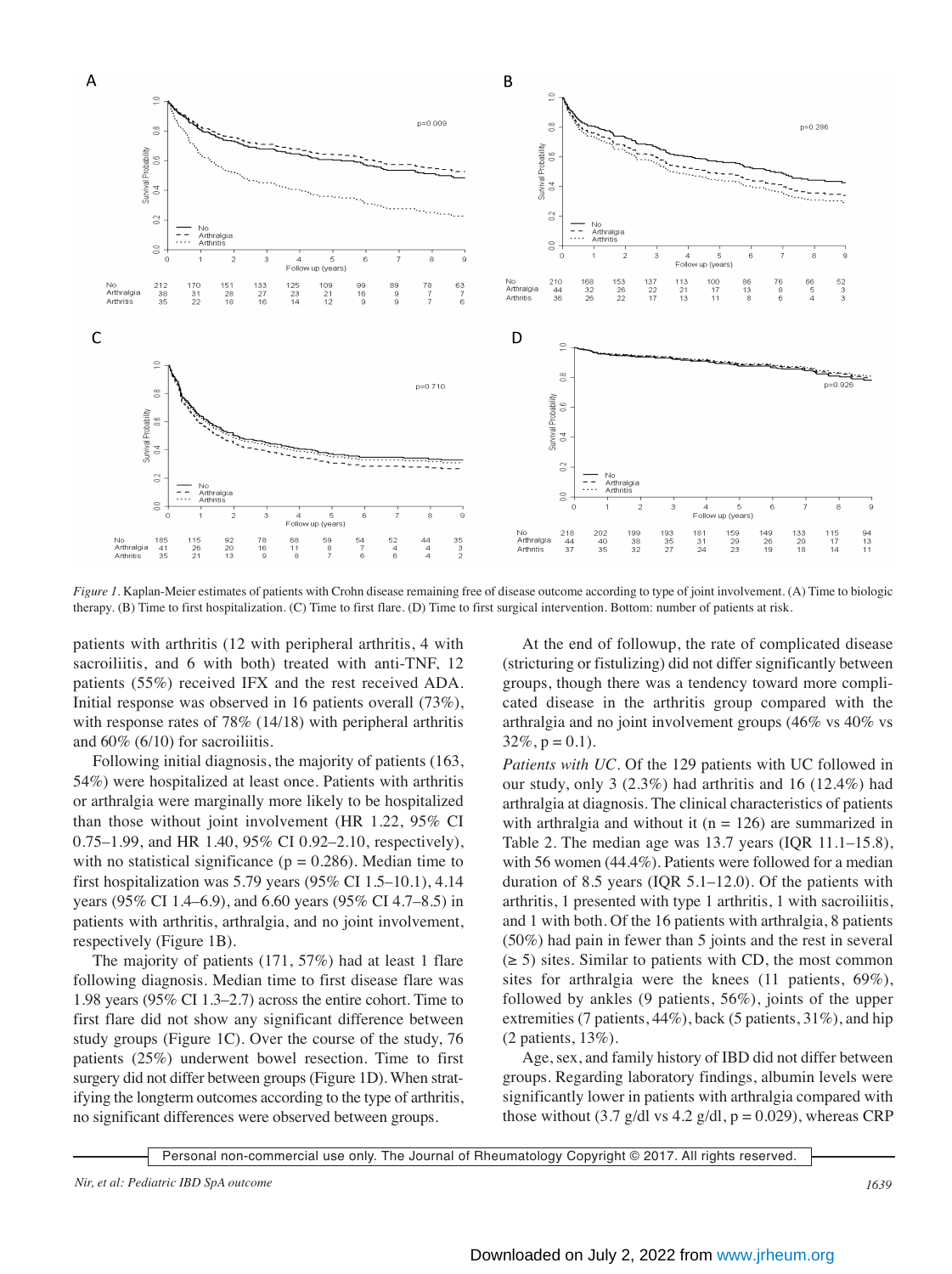

*Figure 1.* Kaplan-Meier estimates of patients with Crohn disease remaining free of disease outcome according to type of joint involvement. (A) Time to biologic therapy. (B) Time to first hospitalization. (C) Time to first flare. (D) Time to first surgical intervention. Bottom: number of patients at risk.

patients with arthritis (12 with peripheral arthritis, 4 with sacroiliitis, and 6 with both) treated with anti-TNF, 12 patients (55%) received IFX and the rest received ADA. Initial response was observed in 16 patients overall (73%), with response rates of 78% (14/18) with peripheral arthritis and 60% (6/10) for sacroiliitis.

 Following initial diagnosis, the majority of patients (163, 54%) were hospitalized at least once. Patients with arthritis or arthralgia were marginally more likely to be hospitalized than those without joint involvement (HR 1.22, 95% CI 0.75–1.99, and HR 1.40, 95% CI 0.92–2.10, respectively), with no statistical significance ( $p = 0.286$ ). Median time to first hospitalization was 5.79 years (95% CI 1.5–10.1), 4.14 years (95% CI 1.4–6.9), and 6.60 years (95% CI 4.7–8.5) in patients with arthritis, arthralgia, and no joint involvement, respectively (Figure 1B).

 The majority of patients (171, 57%) had at least 1 flare following diagnosis. Median time to first disease flare was 1.98 years (95% CI 1.3–2.7) across the entire cohort. Time to first flare did not show any significant difference between study groups (Figure 1C). Over the course of the study, 76 patients (25%) underwent bowel resection. Time to first surgery did not differ between groups (Figure 1D). When stratifying the longterm outcomes according to the type of arthritis, no significant differences were observed between groups.

 At the end of followup, the rate of complicated disease (stricturing or fistulizing) did not differ significantly between groups, though there was a tendency toward more complicated disease in the arthritis group compared with the arthralgia and no joint involvement groups (46% vs 40% vs  $32\%, p = 0.1$ .

*Patients with UC.* Of the 129 patients with UC followed in our study, only 3 (2.3%) had arthritis and 16 (12.4%) had arthralgia at diagnosis. The clinical characteristics of patients with arthralgia and without it ( $n = 126$ ) are summarized in Table 2. The median age was 13.7 years (IQR 11.1–15.8), with 56 women (44.4%). Patients were followed for a median duration of 8.5 years (IQR 5.1–12.0). Of the patients with arthritis, 1 presented with type 1 arthritis, 1 with sacroiliitis, and 1 with both. Of the 16 patients with arthralgia, 8 patients (50%) had pain in fewer than 5 joints and the rest in several  $(\geq 5)$  sites. Similar to patients with CD, the most common sites for arthralgia were the knees (11 patients, 69%), followed by ankles (9 patients, 56%), joints of the upper extremities (7 patients, 44%), back (5 patients, 31%), and hip (2 patients, 13%).

 Age, sex, and family history of IBD did not differ between groups. Regarding laboratory findings, albumin levels were significantly lower in patients with arthralgia compared with those without (3.7 g/dl vs 4.2 g/dl,  $p = 0.029$ ), whereas CRP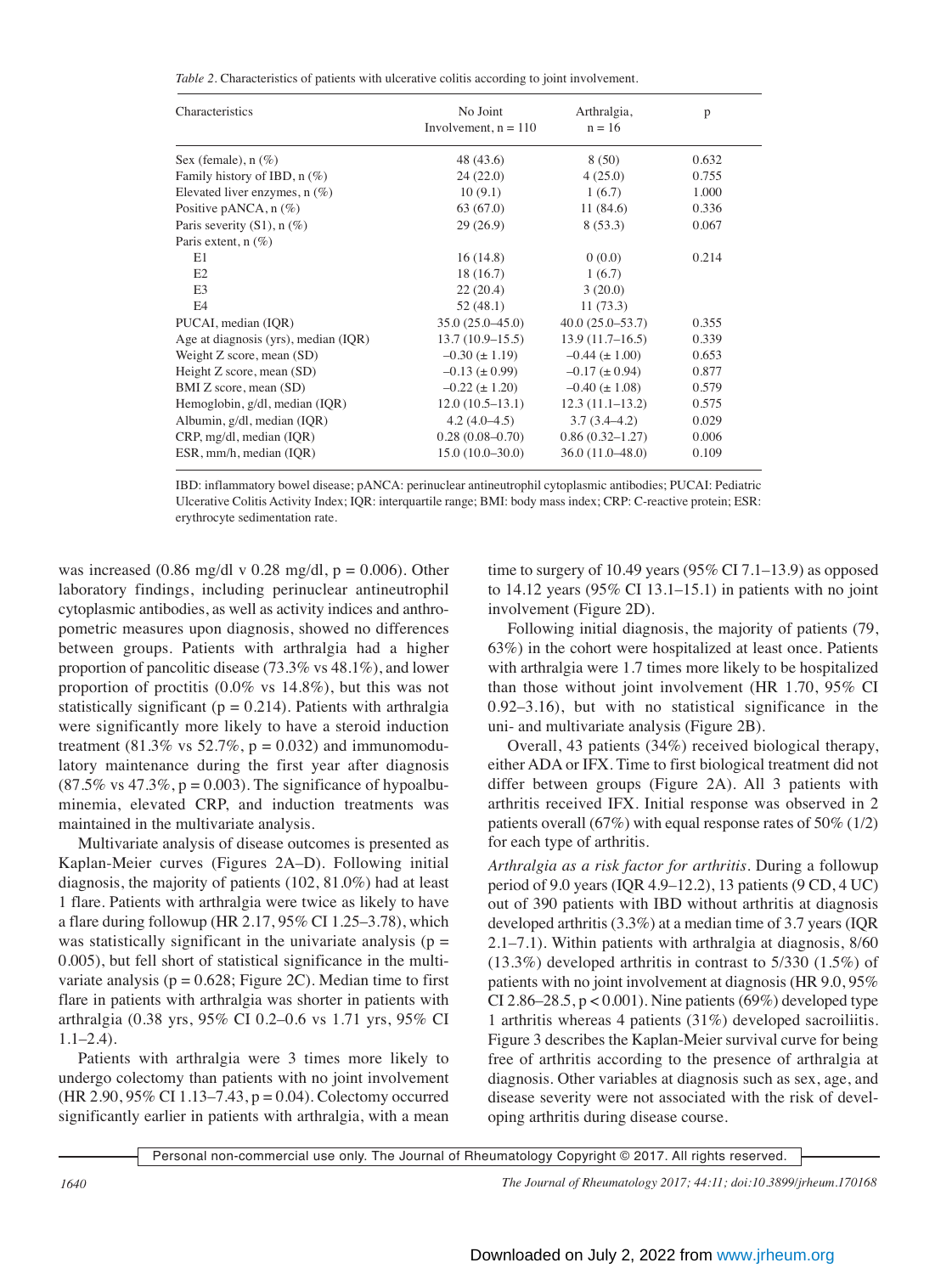*Table 2.* Characteristics of patients with ulcerative colitis according to joint involvement.

| Characteristics                      | No Joint<br>Involvement, $n = 110$ | Arthralgia,<br>$n = 16$ | p     |
|--------------------------------------|------------------------------------|-------------------------|-------|
| Sex (female), $n$ (%)                | 48 (43.6)                          | 8(50)                   | 0.632 |
| Family history of IBD, $n$ (%)       | 24(22.0)                           | 4(25.0)                 | 0.755 |
| Elevated liver enzymes, $n$ $(\%)$   | 10(9.1)                            | 1(6.7)                  | 1.000 |
| Positive pANCA, $n$ (%)              | 63(67.0)                           | 11(84.6)                | 0.336 |
| Paris severity $(S1)$ , n $(\%)$     | 29(26.9)                           | 8(53.3)                 | 0.067 |
| Paris extent, $n$ (%)                |                                    |                         |       |
| E1                                   | 16(14.8)                           | 0(0.0)                  | 0.214 |
| E2                                   | 18(16.7)                           | 1(6.7)                  |       |
| E <sub>3</sub>                       | 22(20.4)                           | 3(20.0)                 |       |
| E4                                   | 52(48.1)                           | 11(73.3)                |       |
| PUCAI, median (IQR)                  | $35.0(25.0-45.0)$                  | $40.0(25.0 - 53.7)$     | 0.355 |
| Age at diagnosis (yrs), median (IQR) | $13.7(10.9-15.5)$                  | $13.9(11.7-16.5)$       | 0.339 |
| Weight Z score, mean (SD)            | $-0.30 \ (\pm 1.19)$               | $-0.44 \ (\pm 1.00)$    | 0.653 |
| Height Z score, mean (SD)            | $-0.13 (\pm 0.99)$                 | $-0.17 (\pm 0.94)$      | 0.877 |
| BMI Z score, mean (SD)               | $-0.22$ ( $\pm$ 1.20)              | $-0.40 (\pm 1.08)$      | 0.579 |
| Hemoglobin, g/dl, median (IQR)       | $12.0(10.5-13.1)$                  | $12.3(11.1-13.2)$       | 0.575 |
| Albumin, g/dl, median (IQR)          | $4.2(4.0-4.5)$                     | $3.7(3.4 - 4.2)$        | 0.029 |
| CRP, mg/dl, median (IQR)             | $0.28(0.08-0.70)$                  | $0.86(0.32 - 1.27)$     | 0.006 |
| ESR, mm/h, median (IQR)              | $15.0(10.0-30.0)$                  | $36.0(11.0-48.0)$       | 0.109 |

IBD: inflammatory bowel disease; pANCA: perinuclear antineutrophil cytoplasmic antibodies; PUCAI: Pediatric Ulcerative Colitis Activity Index; IQR: interquartile range; BMI: body mass index; CRP: C-reactive protein; ESR: erythrocyte sedimentation rate.

was increased (0.86 mg/dl v 0.28 mg/dl,  $p = 0.006$ ). Other laboratory findings, including perinuclear antineutrophil cytoplasmic antibodies, as well as activity indices and anthropometric measures upon diagnosis, showed no differences between groups. Patients with arthralgia had a higher proportion of pancolitic disease (73.3% vs 48.1%), and lower proportion of proctitis  $(0.0\% \text{ vs } 14.8\%)$ , but this was not statistically significant ( $p = 0.214$ ). Patients with arthralgia were significantly more likely to have a steroid induction treatment (81.3% vs  $52.7\%$ , p = 0.032) and immunomodulatory maintenance during the first year after diagnosis  $(87.5\% \text{ vs } 47.3\%, \text{p} = 0.003)$ . The significance of hypoalbuminemia, elevated CRP, and induction treatments was maintained in the multivariate analysis.

 Multivariate analysis of disease outcomes is presented as Kaplan-Meier curves (Figures 2A–D). Following initial diagnosis, the majority of patients (102, 81.0%) had at least 1 flare. Patients with arthralgia were twice as likely to have a flare during followup (HR 2.17, 95% CI 1.25–3.78), which was statistically significant in the univariate analysis ( $p =$ 0.005), but fell short of statistical significance in the multivariate analysis ( $p = 0.628$ ; Figure 2C). Median time to first flare in patients with arthralgia was shorter in patients with arthralgia (0.38 yrs, 95% CI 0.2–0.6 vs 1.71 yrs, 95% CI 1.1–2.4).

 Patients with arthralgia were 3 times more likely to undergo colectomy than patients with no joint involvement (HR 2.90, 95% CI 1.13–7.43, p = 0.04). Colectomy occurred significantly earlier in patients with arthralgia, with a mean

time to surgery of 10.49 years  $(95\% \text{ CI } 7.1-13.9)$  as opposed to 14.12 years  $(95\% \text{ CI } 13.1-15.1)$  in patients with no joint involvement (Figure 2D).

 Following initial diagnosis, the majority of patients (79, 63%) in the cohort were hospitalized at least once. Patients with arthralgia were 1.7 times more likely to be hospitalized than those without joint involvement (HR 1.70, 95% CI 0.92–3.16), but with no statistical significance in the uni- and multivariate analysis (Figure 2B).

 Overall, 43 patients (34%) received biological therapy, either ADA or IFX. Time to first biological treatment did not differ between groups (Figure 2A). All 3 patients with arthritis received IFX. Initial response was observed in 2 patients overall (67%) with equal response rates of 50% (1/2) for each type of arthritis.

*Arthralgia as a risk factor for arthritis.* During a followup period of 9.0 years (IQR 4.9–12.2), 13 patients (9 CD, 4 UC) out of 390 patients with IBD without arthritis at diagnosis developed arthritis (3.3%) at a median time of 3.7 years (IQR 2.1–7.1). Within patients with arthralgia at diagnosis, 8/60 (13.3%) developed arthritis in contrast to 5/330 (1.5%) of patients with no joint involvement at diagnosis (HR 9.0, 95% CI 2.86–28.5,  $p < 0.001$ ). Nine patients (69%) developed type 1 arthritis whereas 4 patients (31%) developed sacroiliitis. Figure 3 describes the Kaplan-Meier survival curve for being free of arthritis according to the presence of arthralgia at diagnosis. Other variables at diagnosis such as sex, age, and disease severity were not associated with the risk of developing arthritis during disease course.

Personal non-commercial use only. The Journal of Rheumatology Copyright © 2017. All rights reserved.

*1640 The Journal of Rheumatology 2017; 44:11; doi:10.3899/jrheum.170168*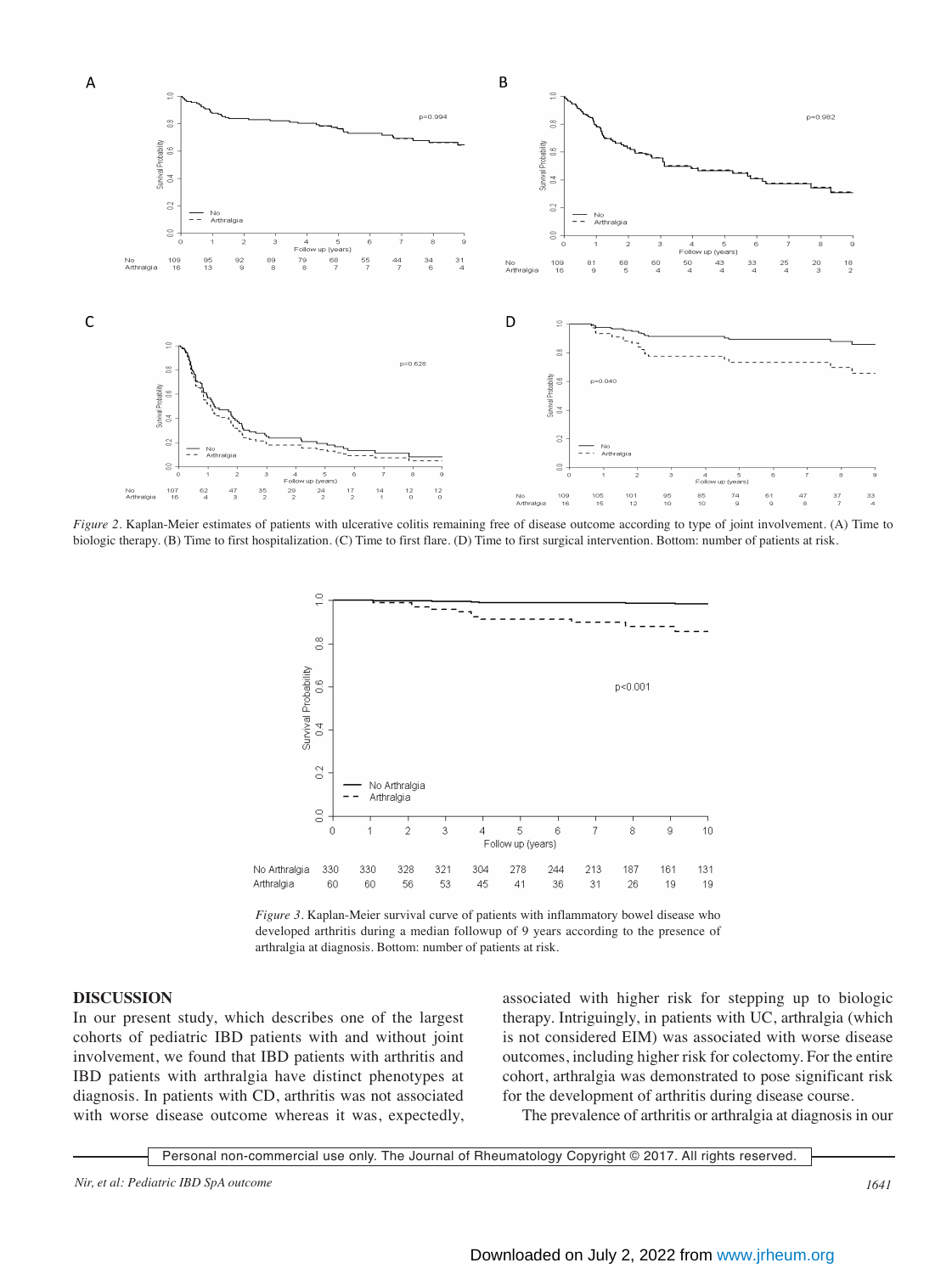

*Figure 2.* Kaplan-Meier estimates of patients with ulcerative colitis remaining free of disease outcome according to type of joint involvement. (A) Time to biologic therapy. (B) Time to first hospitalization. (C) Time to first flare. (D) Time to first surgical intervention. Bottom: number of patients at risk.



*Figure 3.* Kaplan-Meier survival curve of patients with inflammatory bowel disease who developed arthritis during a median followup of 9 years according to the presence of arthralgia at diagnosis. Bottom: number of patients at risk.

### **DISCUSSION**

In our present study, which describes one of the largest cohorts of pediatric IBD patients with and without joint involvement, we found that IBD patients with arthritis and IBD patients with arthralgia have distinct phenotypes at diagnosis. In patients with CD, arthritis was not associated with worse disease outcome whereas it was, expectedly, associated with higher risk for stepping up to biologic therapy. Intriguingly, in patients with UC, arthralgia (which is not considered EIM) was associated with worse disease outcomes, including higher risk for colectomy. For the entire cohort, arthralgia was demonstrated to pose significant risk for the development of arthritis during disease course.

The prevalence of arthritis or arthralgia at diagnosis in our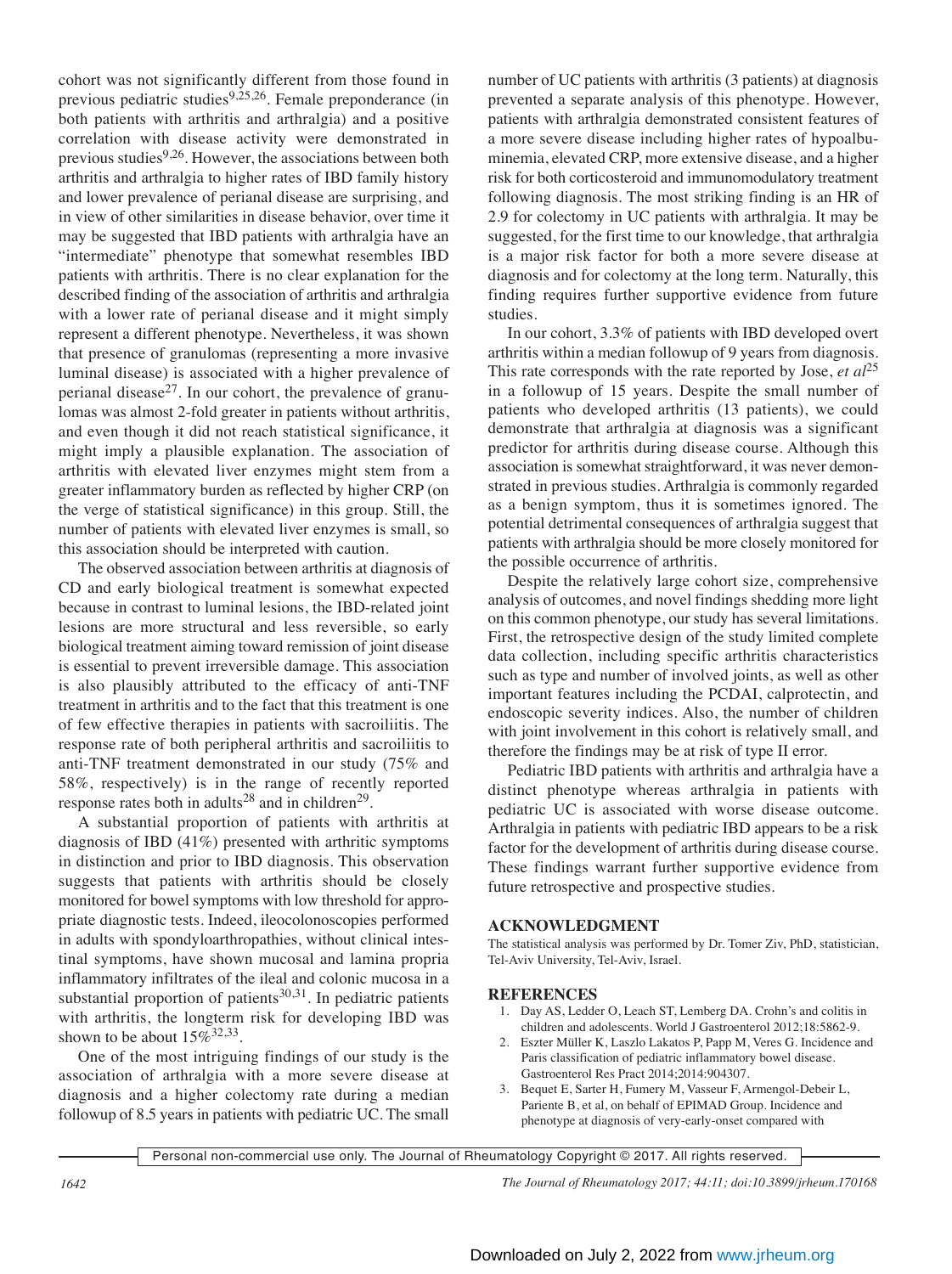cohort was not significantly different from those found in previous pediatric studies<sup>9,25,26</sup>. Female preponderance (in both patients with arthritis and arthralgia) and a positive correlation with disease activity were demonstrated in previous studies $9,26$ . However, the associations between both arthritis and arthralgia to higher rates of IBD family history and lower prevalence of perianal disease are surprising, and in view of other similarities in disease behavior, over time it may be suggested that IBD patients with arthralgia have an "intermediate" phenotype that somewhat resembles IBD patients with arthritis. There is no clear explanation for the described finding of the association of arthritis and arthralgia with a lower rate of perianal disease and it might simply represent a different phenotype. Nevertheless, it was shown that presence of granulomas (representing a more invasive luminal disease) is associated with a higher prevalence of perianal disease<sup>27</sup>. In our cohort, the prevalence of granulomas was almost 2-fold greater in patients without arthritis, and even though it did not reach statistical significance, it might imply a plausible explanation. The association of arthritis with elevated liver enzymes might stem from a greater inflammatory burden as reflected by higher CRP (on the verge of statistical significance) in this group. Still, the number of patients with elevated liver enzymes is small, so this association should be interpreted with caution.

 The observed association between arthritis at diagnosis of CD and early biological treatment is somewhat expected because in contrast to luminal lesions, the IBD-related joint lesions are more structural and less reversible, so early biological treatment aiming toward remission of joint disease is essential to prevent irreversible damage. This association is also plausibly attributed to the efficacy of anti-TNF treatment in arthritis and to the fact that this treatment is one of few effective therapies in patients with sacroiliitis. The response rate of both peripheral arthritis and sacroiliitis to anti-TNF treatment demonstrated in our study (75% and 58%, respectively) is in the range of recently reported response rates both in adults<sup>28</sup> and in children<sup>29</sup>.

 A substantial proportion of patients with arthritis at diagnosis of IBD (41%) presented with arthritic symptoms in distinction and prior to IBD diagnosis. This observation suggests that patients with arthritis should be closely monitored for bowel symptoms with low threshold for appropriate diagnostic tests. Indeed, ileocolonoscopies performed in adults with spondyloarthropathies, without clinical intestinal symptoms, have shown mucosal and lamina propria inflammatory infiltrates of the ileal and colonic mucosa in a substantial proportion of patients $30,31$ . In pediatric patients with arthritis, the longterm risk for developing IBD was shown to be about  $15\%^{32,33}$ .

 One of the most intriguing findings of our study is the association of arthralgia with a more severe disease at diagnosis and a higher colectomy rate during a median followup of 8.5 years in patients with pediatric UC. The small number of UC patients with arthritis (3 patients) at diagnosis prevented a separate analysis of this phenotype. However, patients with arthralgia demonstrated consistent features of a more severe disease including higher rates of hypoalbuminemia, elevated CRP, more extensive disease, and a higher risk for both corticosteroid and immunomodulatory treatment following diagnosis. The most striking finding is an HR of 2.9 for colectomy in UC patients with arthralgia. It may be suggested, for the first time to our knowledge, that arthralgia is a major risk factor for both a more severe disease at diagnosis and for colectomy at the long term. Naturally, this finding requires further supportive evidence from future studies.

 In our cohort, 3.3% of patients with IBD developed overt arthritis within a median followup of 9 years from diagnosis. This rate corresponds with the rate reported by Jose, *et al*<sup>25</sup> in a followup of 15 years. Despite the small number of patients who developed arthritis (13 patients), we could demonstrate that arthralgia at diagnosis was a significant predictor for arthritis during disease course. Although this association is somewhat straightforward, it was never demonstrated in previous studies. Arthralgia is commonly regarded as a benign symptom, thus it is sometimes ignored. The potential detrimental consequences of arthralgia suggest that patients with arthralgia should be more closely monitored for the possible occurrence of arthritis.

 Despite the relatively large cohort size, comprehensive analysis of outcomes, and novel findings shedding more light on this common phenotype, our study has several limitations. First, the retrospective design of the study limited complete data collection, including specific arthritis characteristics such as type and number of involved joints, as well as other important features including the PCDAI, calprotectin, and endoscopic severity indices. Also, the number of children with joint involvement in this cohort is relatively small, and therefore the findings may be at risk of type II error.

 Pediatric IBD patients with arthritis and arthralgia have a distinct phenotype whereas arthralgia in patients with pediatric UC is associated with worse disease outcome. Arthralgia in patients with pediatric IBD appears to be a risk factor for the development of arthritis during disease course. These findings warrant further supportive evidence from future retrospective and prospective studies.

## **ACKNOWLEDGMENT**

The statistical analysis was performed by Dr. Tomer Ziv, PhD, statistician, Tel-Aviv University, Tel-Aviv, Israel.

#### **REFERENCES**

- 1. Day AS, Ledder O, Leach ST, Lemberg DA. Crohn's and colitis in children and adolescents. World J Gastroenterol 2012;18:5862-9.
- 2. Eszter Müller K, Laszlo Lakatos P, Papp M, Veres G. Incidence and Paris classification of pediatric inflammatory bowel disease. Gastroenterol Res Pract 2014;2014:904307.
- 3. Bequet E, Sarter H, Fumery M, Vasseur F, Armengol-Debeir L, Pariente B, et al, on behalf of EPIMAD Group. Incidence and phenotype at diagnosis of very-early-onset compared with